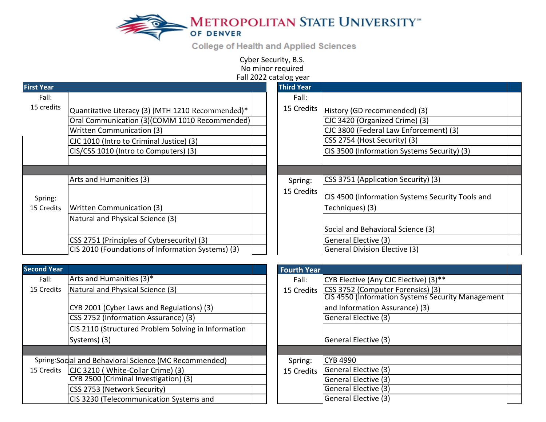

**College of Health and Applied Sciences** 

Cyber Security, B.S. No minor required Fall 2022 catalog year

| <b>First Year</b>     |                                                   | <b>Third Year</b> |                                                                     |  |
|-----------------------|---------------------------------------------------|-------------------|---------------------------------------------------------------------|--|
| Fall:                 |                                                   | Fall:             |                                                                     |  |
| 15 credits            | Quantitative Literacy (3) (MTH 1210 Recommended)* | 15 Credits        | History (GD recommended) (3)                                        |  |
|                       | Oral Communication (3)(COMM 1010 Recommended)     |                   | CJC 3420 (Organized Crime) (3)                                      |  |
|                       | <b>Written Communication (3)</b>                  |                   | CJC 3800 (Federal Law Enforcement) (3)                              |  |
|                       | CJC 1010 (Intro to Criminal Justice) (3)          |                   | CSS 2754 (Host Security) (3)                                        |  |
|                       | CIS/CSS 1010 (Intro to Computers) (3)             |                   | CIS 3500 (Information Systems Security) (3)                         |  |
|                       |                                                   |                   |                                                                     |  |
|                       |                                                   |                   |                                                                     |  |
|                       | Arts and Humanities (3)                           | Spring:           | CSS 3751 (Application Security) (3)                                 |  |
| Spring:<br>15 Credits | Written Communication (3)                         | 15 Credits        | CIS 4500 (Information Systems Security Tools and<br>Techniques) (3) |  |
|                       | Natural and Physical Science (3)                  |                   |                                                                     |  |
|                       |                                                   |                   | Social and Behavioral Science (3)                                   |  |
|                       | CSS 2751 (Principles of Cybersecurity) (3)        |                   | <b>General Elective (3)</b>                                         |  |
|                       | CIS 2010 (Foundations of Information Systems) (3) |                   | <b>General Division Elective (3)</b>                                |  |

| <b>Second Year</b> |                                                        | <b>Fourth Year</b> |                                              |
|--------------------|--------------------------------------------------------|--------------------|----------------------------------------------|
| Fall:              | Arts and Humanities (3)*                               | Fall:              | <b>CYB Elective (Any CJC Elective) (3)**</b> |
| 15 Credits         | Natural and Physical Science (3)                       | 15 Credits         | CSS 3752 (Computer Forensics) (3)            |
|                    |                                                        |                    | <b>CIS 4550 (Information Systems Secu</b>    |
|                    | CYB 2001 (Cyber Laws and Regulations) (3)              |                    | and Information Assurance) (3)               |
|                    | CSS 2752 (Information Assurance) (3)                   |                    | General Elective (3)                         |
|                    | CIS 2110 (Structured Problem Solving in Information    |                    |                                              |
|                    | Systems) (3)                                           |                    | General Elective (3)                         |
|                    |                                                        |                    |                                              |
|                    | Spring: Sodial and Behavioral Science (MC Recommended) | Spring:            | <b>CYB 4990</b>                              |
| 15 Credits         | CJC 3210 (White-Collar Crime) (3)                      | 15 Credits         | <b>General Elective (3)</b>                  |
|                    | CYB 2500 (Criminal Investigation) (3)                  |                    | General Elective (3)                         |
|                    | CSS 2753 (Network Security)                            |                    | <b>General Elective (3)</b>                  |
|                    | CIS 3230 (Telecommunication Systems and                |                    | General Elective (3)                         |

| <b>Fourth Year</b> |                                                   |  |  |  |
|--------------------|---------------------------------------------------|--|--|--|
| Fall:              | CYB Elective (Any CJC Elective) (3)**             |  |  |  |
| 15 Credits         | CSS 3752 (Computer Forensics) (3)                 |  |  |  |
|                    | CIS 4550 (Information Systems Security Management |  |  |  |
|                    | and Information Assurance) (3)                    |  |  |  |
|                    | General Elective (3)                              |  |  |  |
|                    |                                                   |  |  |  |
|                    | General Elective (3)                              |  |  |  |
|                    |                                                   |  |  |  |
| Spring:            | <b>CYB 4990</b>                                   |  |  |  |
| 15 Credits         | General Elective (3)                              |  |  |  |
|                    | General Elective (3)                              |  |  |  |
|                    | General Elective (3)                              |  |  |  |
|                    | General Elective (3)                              |  |  |  |